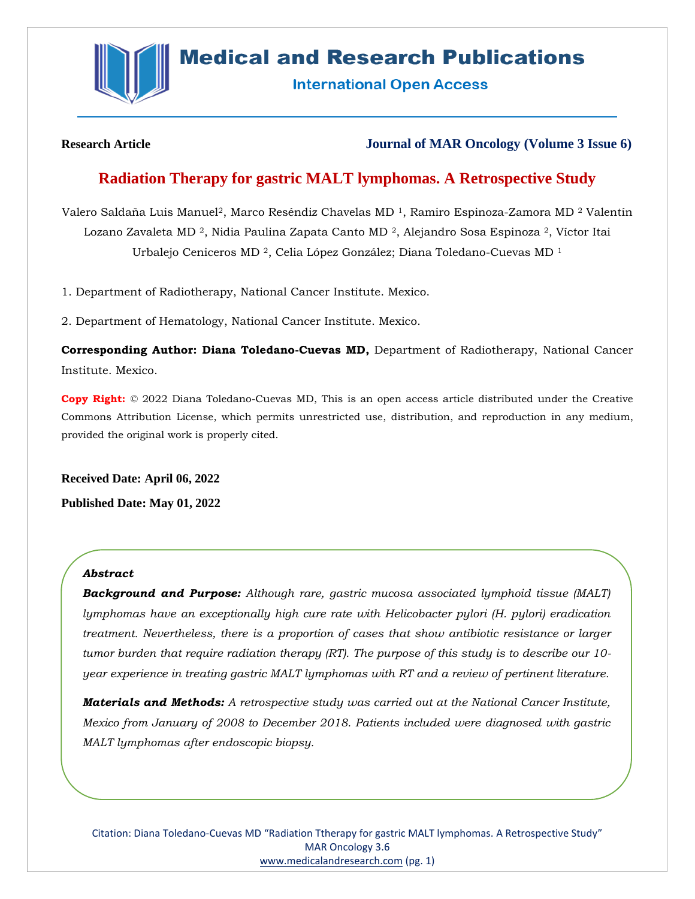

# **Medical and Research Publications**

**International Open Access** 

**Research Article Journal of MAR Oncology (Volume 3 Issue 6)**

# **Radiation Therapy for gastric MALT lymphomas. A Retrospective Study**

Valero Saldaña Luis Manuel<sup>2</sup>, Marco Reséndiz Chavelas MD<sup>1</sup>, Ramiro Espinoza-Zamora MD<sup>2</sup> Valentín Lozano Zavaleta MD 2, Nidia Paulina Zapata Canto MD 2, Alejandro Sosa Espinoza 2, Víctor Itai Urbalejo Ceniceros MD 2, Celia López González; Diana Toledano-Cuevas MD <sup>1</sup>

1. Department of Radiotherapy, National Cancer Institute. Mexico.

2. Department of Hematology, National Cancer Institute. Mexico.

**Corresponding Author: Diana Toledano-Cuevas MD,** Department of Radiotherapy, National Cancer Institute. Mexico.

**Copy Right:** © 2022 Diana Toledano-Cuevas MD, This is an open access article distributed under the Creative Commons Attribution License, which permits unrestricted use, distribution, and reproduction in any medium, provided the original work is properly cited.

**Received Date: April 06, 2022 Published Date: May 01, 2022**

# *Abstract*

*Background and Purpose: Although rare, gastric mucosa associated lymphoid tissue (MALT) lymphomas have an exceptionally high cure rate with Helicobacter pylori (H. pylori) eradication treatment. Nevertheless, there is a proportion of cases that show antibiotic resistance or larger tumor burden that require radiation therapy (RT). The purpose of this study is to describe our 10 year experience in treating gastric MALT lymphomas with RT and a review of pertinent literature.*

*Materials and Methods: A retrospective study was carried out at the National Cancer Institute, Mexico from January of 2008 to December 2018. Patients included were diagnosed with gastric MALT lymphomas after endoscopic biopsy.*

Citation: Diana Toledano-Cuevas MD "Radiation Ttherapy for gastric MALT lymphomas. A Retrospective Study" MAR Oncology 3.6 [www.medicalandresearch.com](http://www.medicalandresearch.com/) (pg. 1)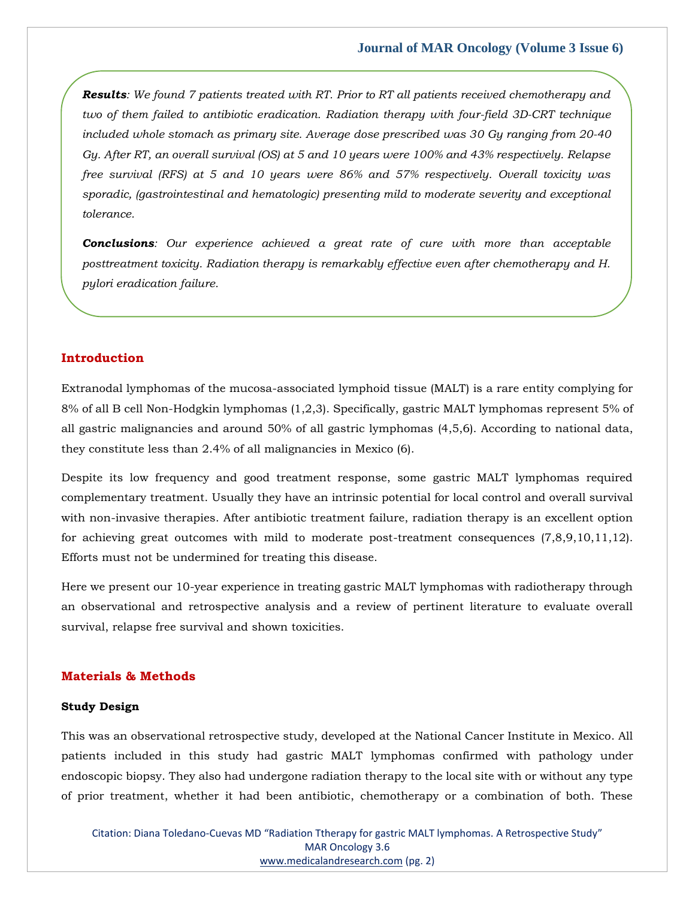*Results: We found 7 patients treated with RT. Prior to RT all patients received chemotherapy and two of them failed to antibiotic eradication. Radiation therapy with four-field 3D-CRT technique included whole stomach as primary site. Average dose prescribed was 30 Gy ranging from 20-40 Gy. After RT, an overall survival (OS) at 5 and 10 years were 100% and 43% respectively. Relapse free survival (RFS) at 5 and 10 years were 86% and 57% respectively. Overall toxicity was sporadic, (gastrointestinal and hematologic) presenting mild to moderate severity and exceptional tolerance.*

*Conclusions: Our experience achieved a great rate of cure with more than acceptable posttreatment toxicity. Radiation therapy is remarkably effective even after chemotherapy and H. pylori eradication failure.*

#### **Introduction**

Extranodal lymphomas of the mucosa-associated lymphoid tissue (MALT) is a rare entity complying for 8% of all B cell Non-Hodgkin lymphomas (1,2,3). Specifically, gastric MALT lymphomas represent 5% of all gastric malignancies and around 50% of all gastric lymphomas (4,5,6). According to national data, they constitute less than 2.4% of all malignancies in Mexico (6).

Despite its low frequency and good treatment response, some gastric MALT lymphomas required complementary treatment. Usually they have an intrinsic potential for local control and overall survival with non-invasive therapies. After antibiotic treatment failure, radiation therapy is an excellent option for achieving great outcomes with mild to moderate post-treatment consequences (7,8,9,10,11,12). Efforts must not be undermined for treating this disease.

Here we present our 10-year experience in treating gastric MALT lymphomas with radiotherapy through an observational and retrospective analysis and a review of pertinent literature to evaluate overall survival, relapse free survival and shown toxicities.

# **Materials & Methods**

#### **Study Design**

This was an observational retrospective study, developed at the National Cancer Institute in Mexico. All patients included in this study had gastric MALT lymphomas confirmed with pathology under endoscopic biopsy. They also had undergone radiation therapy to the local site with or without any type of prior treatment, whether it had been antibiotic, chemotherapy or a combination of both. These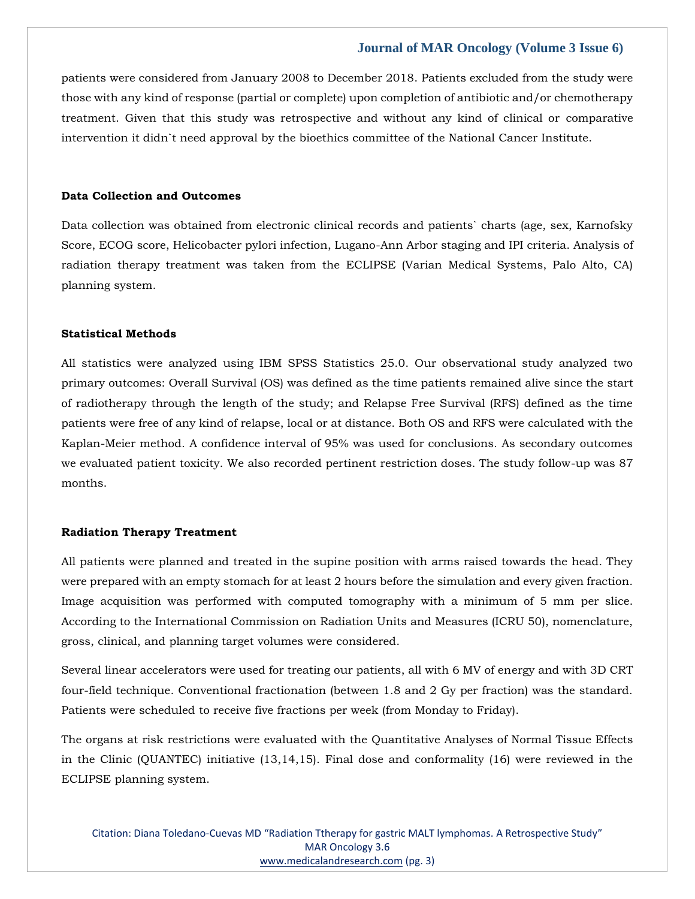patients were considered from January 2008 to December 2018. Patients excluded from the study were those with any kind of response (partial or complete) upon completion of antibiotic and/or chemotherapy treatment. Given that this study was retrospective and without any kind of clinical or comparative intervention it didn`t need approval by the bioethics committee of the National Cancer Institute.

# **Data Collection and Outcomes**

Data collection was obtained from electronic clinical records and patients` charts (age, sex, Karnofsky Score, ECOG score, Helicobacter pylori infection, Lugano-Ann Arbor staging and IPI criteria. Analysis of radiation therapy treatment was taken from the ECLIPSE (Varian Medical Systems, Palo Alto, CA) planning system.

#### **Statistical Methods**

All statistics were analyzed using IBM SPSS Statistics 25.0. Our observational study analyzed two primary outcomes: Overall Survival (OS) was defined as the time patients remained alive since the start of radiotherapy through the length of the study; and Relapse Free Survival (RFS) defined as the time patients were free of any kind of relapse, local or at distance. Both OS and RFS were calculated with the Kaplan-Meier method. A confidence interval of 95% was used for conclusions. As secondary outcomes we evaluated patient toxicity. We also recorded pertinent restriction doses. The study follow-up was 87 months.

#### **Radiation Therapy Treatment**

All patients were planned and treated in the supine position with arms raised towards the head. They were prepared with an empty stomach for at least 2 hours before the simulation and every given fraction. Image acquisition was performed with computed tomography with a minimum of 5 mm per slice. According to the International Commission on Radiation Units and Measures (ICRU 50), nomenclature, gross, clinical, and planning target volumes were considered.

Several linear accelerators were used for treating our patients, all with 6 MV of energy and with 3D CRT four-field technique. Conventional fractionation (between 1.8 and 2 Gy per fraction) was the standard. Patients were scheduled to receive five fractions per week (from Monday to Friday).

The organs at risk restrictions were evaluated with the Quantitative Analyses of Normal Tissue Effects in the Clinic (QUANTEC) initiative (13,14,15). Final dose and conformality (16) were reviewed in the ECLIPSE planning system.

Citation: Diana Toledano-Cuevas MD "Radiation Ttherapy for gastric MALT lymphomas. A Retrospective Study" MAR Oncology 3.6 [www.medicalandresearch.com](http://www.medicalandresearch.com/) (pg. 3)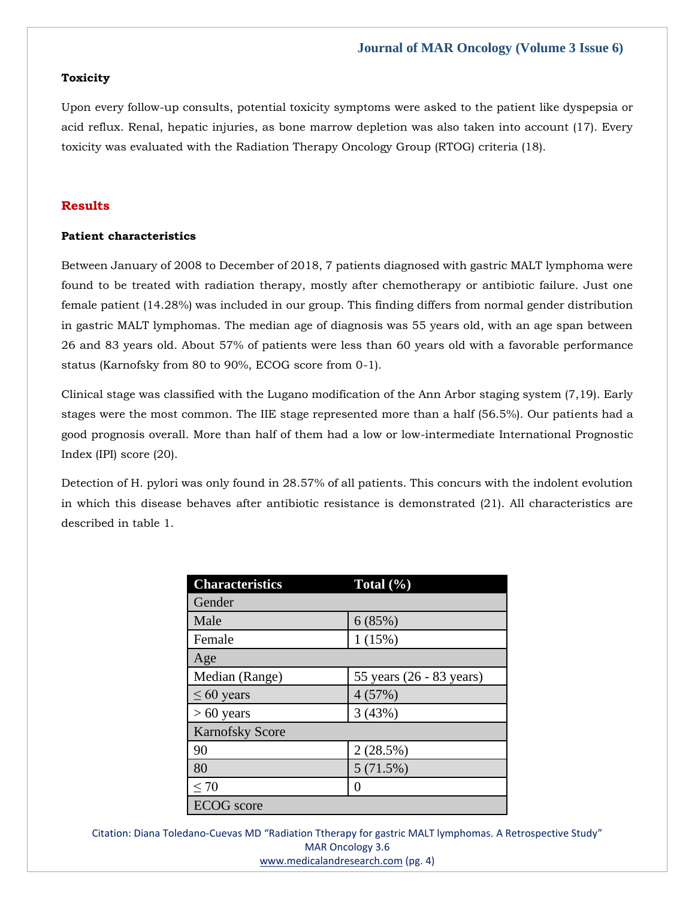# **Toxicity**

Upon every follow-up consults, potential toxicity symptoms were asked to the patient like dyspepsia or acid reflux. Renal, hepatic injuries, as bone marrow depletion was also taken into account (17). Every toxicity was evaluated with the Radiation Therapy Oncology Group (RTOG) criteria (18).

# **Results**

# **Patient characteristics**

Between January of 2008 to December of 2018, 7 patients diagnosed with gastric MALT lymphoma were found to be treated with radiation therapy, mostly after chemotherapy or antibiotic failure. Just one female patient (14.28%) was included in our group. This finding differs from normal gender distribution in gastric MALT lymphomas. The median age of diagnosis was 55 years old, with an age span between 26 and 83 years old. About 57% of patients were less than 60 years old with a favorable performance status (Karnofsky from 80 to 90%, ECOG score from 0-1).

Clinical stage was classified with the Lugano modification of the Ann Arbor staging system (7,19). Early stages were the most common. The IIE stage represented more than a half (56.5%). Our patients had a good prognosis overall. More than half of them had a low or low-intermediate International Prognostic Index (IPI) score (20).

Detection of H. pylori was only found in 28.57% of all patients. This concurs with the indolent evolution in which this disease behaves after antibiotic resistance is demonstrated (21). All characteristics are described in table 1.

| <b>Characteristics</b> | Total $(\%)$             |  |  |  |
|------------------------|--------------------------|--|--|--|
| Gender                 |                          |  |  |  |
| Male                   | 6(85%)                   |  |  |  |
| Female                 | 1(15%)                   |  |  |  |
| Age                    |                          |  |  |  |
| Median (Range)         | 55 years (26 - 83 years) |  |  |  |
| $\leq 60$ years        | 4(57%)                   |  |  |  |
| $> 60$ years           | 3(43%)                   |  |  |  |
| <b>Karnofsky Score</b> |                          |  |  |  |
| 90                     | 2(28.5%)                 |  |  |  |
| 80                     | 5(71.5%)                 |  |  |  |
| < 70                   | 0                        |  |  |  |
| <b>ECOG</b> score      |                          |  |  |  |

Citation: Diana Toledano-Cuevas MD "Radiation Ttherapy for gastric MALT lymphomas. A Retrospective Study" MAR Oncology 3.6 [www.medicalandresearch.com](http://www.medicalandresearch.com/) (pg. 4)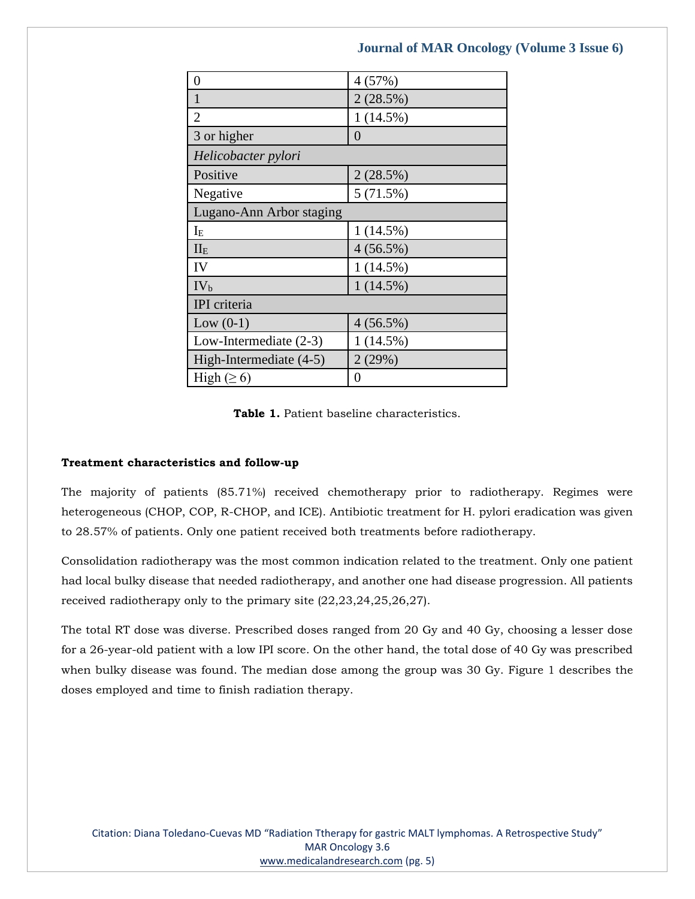| 0                        | 4 (57%)     |  |  |  |
|--------------------------|-------------|--|--|--|
| $\mathbf{1}$             | 2(28.5%)    |  |  |  |
| $\overline{2}$           | $1(14.5\%)$ |  |  |  |
| 3 or higher              | 0           |  |  |  |
| Helicobacter pylori      |             |  |  |  |
| Positive                 | 2(28.5%)    |  |  |  |
| Negative                 | 5(71.5%)    |  |  |  |
| Lugano-Ann Arbor staging |             |  |  |  |
| $I_{E}$                  | 1(14.5%)    |  |  |  |
| II <sub>E</sub>          | $4(56.5\%)$ |  |  |  |
| IV                       | 1(14.5%)    |  |  |  |
| IV <sub>b</sub>          | $1(14.5\%)$ |  |  |  |
| IPI criteria             |             |  |  |  |
| Low $(0-1)$              | 4(56.5%)    |  |  |  |
| Low-Intermediate $(2-3)$ | $1(14.5\%)$ |  |  |  |
| High-Intermediate (4-5)  | 2(29%)      |  |  |  |
| High $(\geq 6)$          | $\theta$    |  |  |  |

**Table 1.** Patient baseline characteristics.

# **Treatment characteristics and follow-up**

The majority of patients (85.71%) received chemotherapy prior to radiotherapy. Regimes were heterogeneous (CHOP, COP, R-CHOP, and ICE). Antibiotic treatment for H. pylori eradication was given to 28.57% of patients. Only one patient received both treatments before radiotherapy.

Consolidation radiotherapy was the most common indication related to the treatment. Only one patient had local bulky disease that needed radiotherapy, and another one had disease progression. All patients received radiotherapy only to the primary site (22,23,24,25,26,27).

The total RT dose was diverse. Prescribed doses ranged from 20 Gy and 40 Gy, choosing a lesser dose for a 26-year-old patient with a low IPI score. On the other hand, the total dose of 40 Gy was prescribed when bulky disease was found. The median dose among the group was 30 Gy. Figure 1 describes the doses employed and time to finish radiation therapy.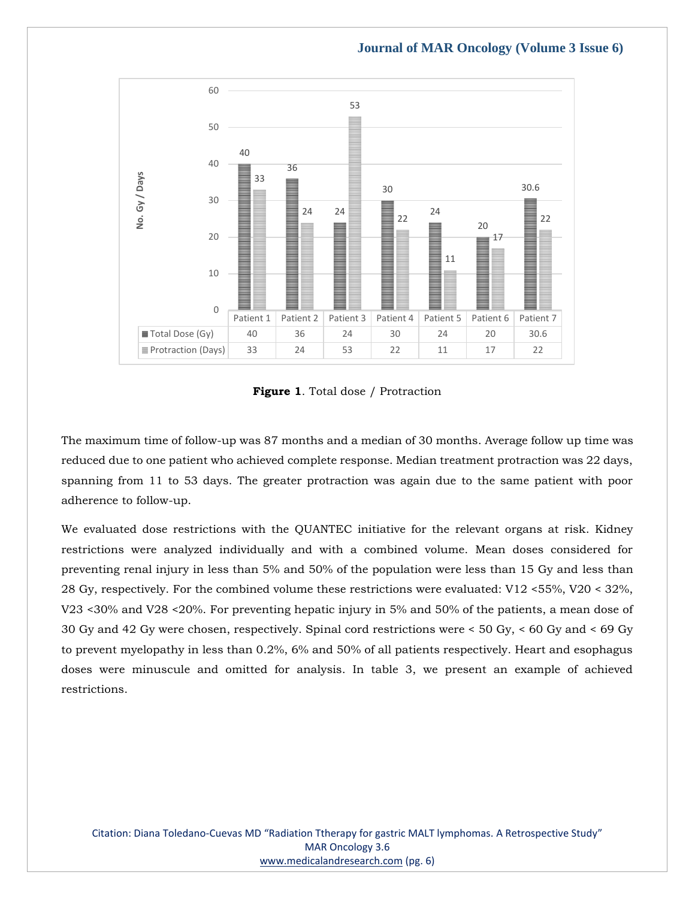

**Figure 1**. Total dose / Protraction

The maximum time of follow-up was 87 months and a median of 30 months. Average follow up time was reduced due to one patient who achieved complete response. Median treatment protraction was 22 days, spanning from 11 to 53 days. The greater protraction was again due to the same patient with poor adherence to follow-up.

We evaluated dose restrictions with the QUANTEC initiative for the relevant organs at risk. Kidney restrictions were analyzed individually and with a combined volume. Mean doses considered for preventing renal injury in less than 5% and 50% of the population were less than 15 Gy and less than 28 Gy, respectively. For the combined volume these restrictions were evaluated: V12 <55%, V20 < 32%, V23 <30% and V28 <20%. For preventing hepatic injury in 5% and 50% of the patients, a mean dose of 30 Gy and 42 Gy were chosen, respectively. Spinal cord restrictions were < 50 Gy, < 60 Gy and < 69 Gy to prevent myelopathy in less than 0.2%, 6% and 50% of all patients respectively. Heart and esophagus doses were minuscule and omitted for analysis. In table 3, we present an example of achieved restrictions.

Citation: Diana Toledano-Cuevas MD "Radiation Ttherapy for gastric MALT lymphomas. A Retrospective Study" MAR Oncology 3.6 [www.medicalandresearch.com](http://www.medicalandresearch.com/) (pg. 6)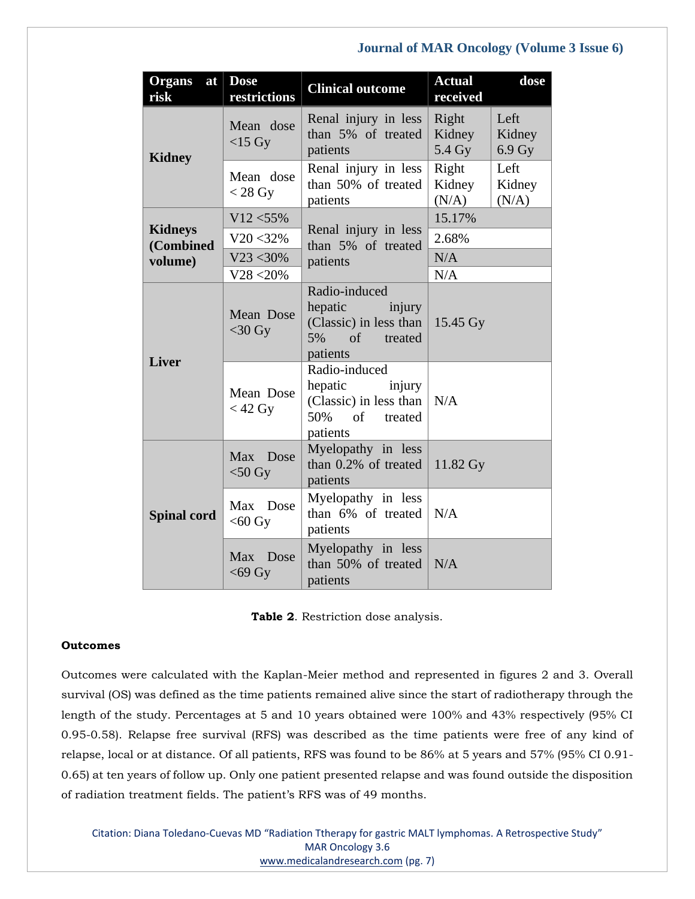| <b>Organs</b><br>at<br>risk            | <b>Dose</b><br>restrictions | <b>Clinical outcome</b>                                                                                          | <b>Actual</b><br>received | dose                     |
|----------------------------------------|-----------------------------|------------------------------------------------------------------------------------------------------------------|---------------------------|--------------------------|
| <b>Kidney</b>                          | Mean dose<br>$<$ 15 Gy      | Renal injury in less<br>than 5% of treated<br>patients                                                           | Right<br>Kidney<br>5.4 Gy | Left<br>Kidney<br>6.9 Gy |
|                                        | Mean dose<br>$<$ 28 Gy      | Renal injury in less<br>than 50% of treated<br>patients                                                          | Right<br>Kidney<br>(N/A)  | Left<br>Kidney<br>(N/A)  |
| <b>Kidneys</b><br>(Combined<br>volume) | $V12 < 55\%$                |                                                                                                                  | 15.17%                    |                          |
|                                        | $V20 < 32\%$                | Renal injury in less<br>than 5% of treated                                                                       | 2.68%                     |                          |
|                                        | $V23 < 30\%$                | patients                                                                                                         | N/A                       |                          |
|                                        | $V28 < 20\%$                |                                                                                                                  | N/A                       |                          |
| <b>Liver</b>                           | Mean Dose<br>$<$ 30 Gy      | Radio-induced<br>hepatic<br>injury<br>(Classic) in less than $\vert$<br>5%<br>$\sigma$ of<br>treated<br>patients | 15.45 Gy                  |                          |
|                                        | Mean Dose<br>$<$ 42 Gy      | Radio-induced<br>hepatic<br>injury<br>(Classic) in less than<br>50%<br>$\sigma$ f<br>treated<br>patients         | N/A                       |                          |
| <b>Spinal cord</b>                     | Max Dose<br>$<$ 50 Gy       | Myelopathy in less<br>than 0.2% of treated<br>patients                                                           | 11.82 Gy                  |                          |
|                                        | Max Dose<br>$<$ 60 Gy       | Myelopathy in less<br>than 6% of treated<br>patients                                                             | N/A                       |                          |
|                                        | Max Dose<br>$<$ 69 Gy       | Myelopathy in less<br>than 50% of treated<br>patients                                                            | N/A                       |                          |

**Table 2**. Restriction dose analysis.

# **Outcomes**

Outcomes were calculated with the Kaplan-Meier method and represented in figures 2 and 3. Overall survival (OS) was defined as the time patients remained alive since the start of radiotherapy through the length of the study. Percentages at 5 and 10 years obtained were 100% and 43% respectively (95% CI 0.95-0.58). Relapse free survival (RFS) was described as the time patients were free of any kind of relapse, local or at distance. Of all patients, RFS was found to be 86% at 5 years and 57% (95% CI 0.91- 0.65) at ten years of follow up. Only one patient presented relapse and was found outside the disposition of radiation treatment fields. The patient's RFS was of 49 months.

Citation: Diana Toledano-Cuevas MD "Radiation Ttherapy for gastric MALT lymphomas. A Retrospective Study" MAR Oncology 3.6 [www.medicalandresearch.com](http://www.medicalandresearch.com/) (pg. 7)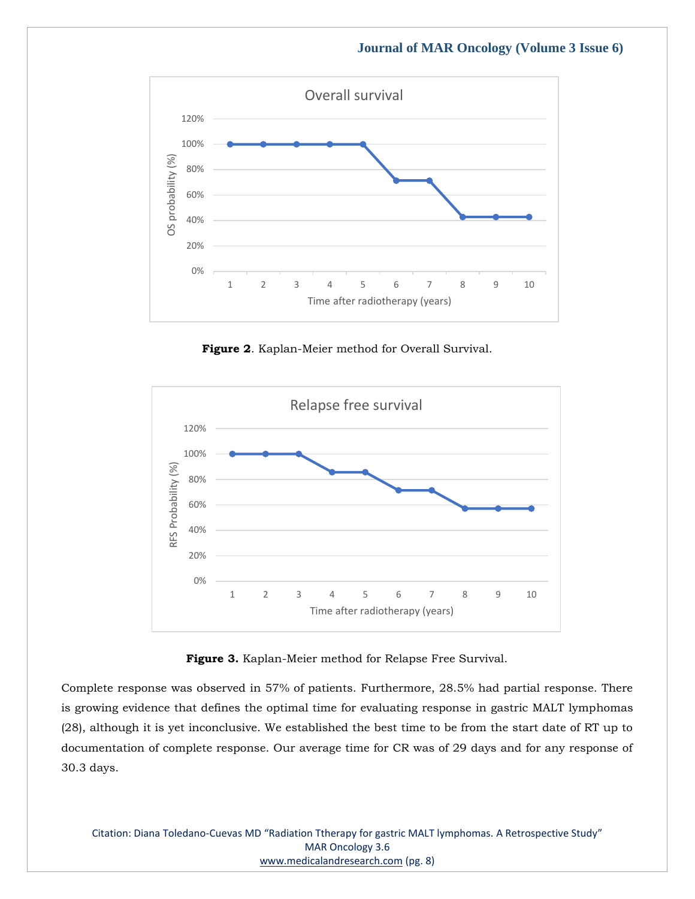

**Figure 2**. Kaplan-Meier method for Overall Survival.



**Figure 3.** Kaplan-Meier method for Relapse Free Survival.

Complete response was observed in 57% of patients. Furthermore, 28.5% had partial response. There is growing evidence that defines the optimal time for evaluating response in gastric MALT lymphomas (28), although it is yet inconclusive. We established the best time to be from the start date of RT up to documentation of complete response. Our average time for CR was of 29 days and for any response of 30.3 days.

Citation: Diana Toledano-Cuevas MD "Radiation Ttherapy for gastric MALT lymphomas. A Retrospective Study" MAR Oncology 3.6 [www.medicalandresearch.com](http://www.medicalandresearch.com/) (pg. 8)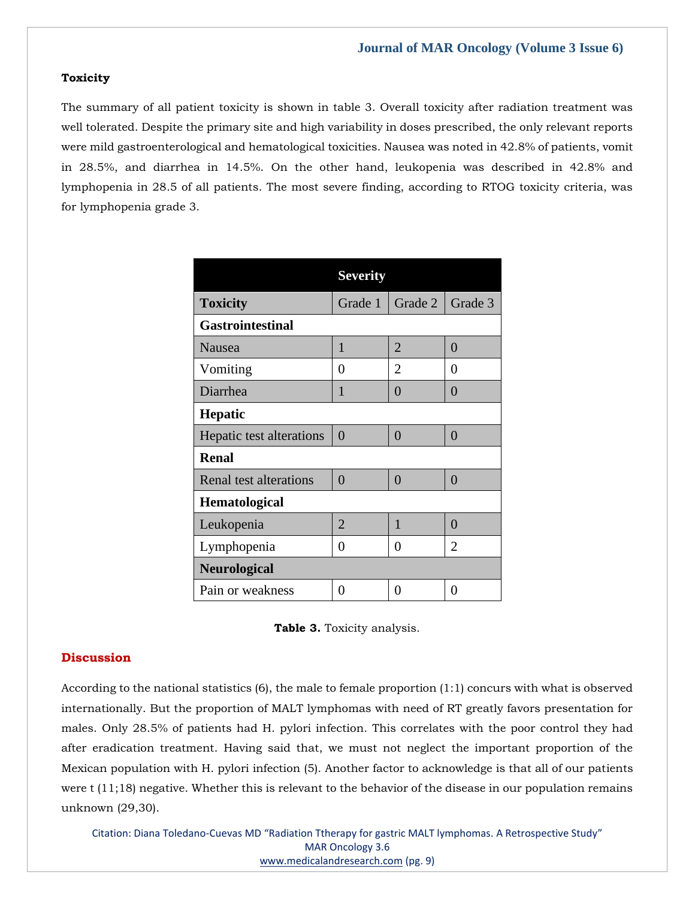## **Toxicity**

The summary of all patient toxicity is shown in table 3. Overall toxicity after radiation treatment was well tolerated. Despite the primary site and high variability in doses prescribed, the only relevant reports were mild gastroenterological and hematological toxicities. Nausea was noted in 42.8% of patients, vomit in 28.5%, and diarrhea in 14.5%. On the other hand, leukopenia was described in 42.8% and lymphopenia in 28.5 of all patients. The most severe finding, according to RTOG toxicity criteria, was for lymphopenia grade 3.

|                          | <b>Severity</b> |                |                |  |  |  |
|--------------------------|-----------------|----------------|----------------|--|--|--|
| <b>Toxicity</b>          | Grade 1         | Grade 2        | Grade 3        |  |  |  |
| <b>Gastrointestinal</b>  |                 |                |                |  |  |  |
| Nausea                   | 1               | $\overline{2}$ | 0              |  |  |  |
| Vomiting                 | 0               | $\overline{2}$ | 0              |  |  |  |
| Diarrhea                 | 1               | 0              | $\Omega$       |  |  |  |
| <b>Hepatic</b>           |                 |                |                |  |  |  |
| Hepatic test alterations | $\overline{0}$  | $\Omega$       | $\theta$       |  |  |  |
| <b>Renal</b>             |                 |                |                |  |  |  |
| Renal test alterations   | $\overline{0}$  | $\overline{0}$ | $\overline{0}$ |  |  |  |
| <b>Hematological</b>     |                 |                |                |  |  |  |
| Leukopenia               | $\overline{2}$  | 1              | 0              |  |  |  |
| Lymphopenia              | 0               | 0              | $\overline{2}$ |  |  |  |
| <b>Neurological</b>      |                 |                |                |  |  |  |
| Pain or weakness         | 0               | 0              | 0              |  |  |  |



# **Discussion**

According to the national statistics (6), the male to female proportion (1:1) concurs with what is observed internationally. But the proportion of MALT lymphomas with need of RT greatly favors presentation for males. Only 28.5% of patients had H. pylori infection. This correlates with the poor control they had after eradication treatment. Having said that, we must not neglect the important proportion of the Mexican population with H. pylori infection (5). Another factor to acknowledge is that all of our patients were t (11;18) negative. Whether this is relevant to the behavior of the disease in our population remains unknown (29,30).

Citation: Diana Toledano-Cuevas MD "Radiation Ttherapy for gastric MALT lymphomas. A Retrospective Study" MAR Oncology 3.6 [www.medicalandresearch.com](http://www.medicalandresearch.com/) (pg. 9)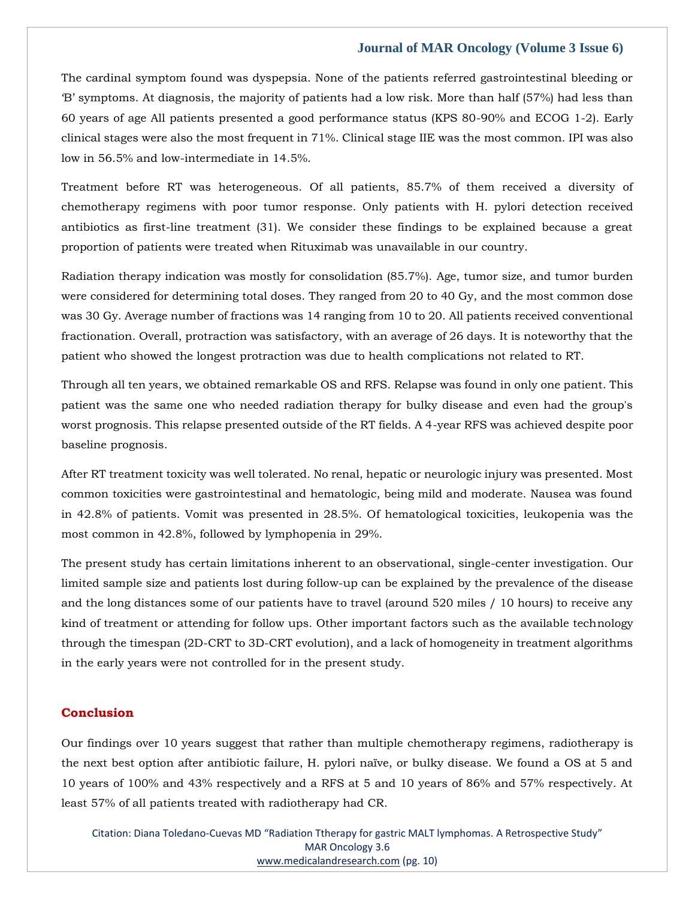The cardinal symptom found was dyspepsia. None of the patients referred gastrointestinal bleeding or 'B' symptoms. At diagnosis, the majority of patients had a low risk. More than half (57%) had less than 60 years of age All patients presented a good performance status (KPS 80-90% and ECOG 1-2). Early clinical stages were also the most frequent in 71%. Clinical stage IIE was the most common. IPI was also low in 56.5% and low-intermediate in 14.5%.

Treatment before RT was heterogeneous. Of all patients, 85.7% of them received a diversity of chemotherapy regimens with poor tumor response. Only patients with H. pylori detection received antibiotics as first-line treatment (31). We consider these findings to be explained because a great proportion of patients were treated when Rituximab was unavailable in our country.

Radiation therapy indication was mostly for consolidation (85.7%). Age, tumor size, and tumor burden were considered for determining total doses. They ranged from 20 to 40 Gy, and the most common dose was 30 Gy. Average number of fractions was 14 ranging from 10 to 20. All patients received conventional fractionation. Overall, protraction was satisfactory, with an average of 26 days. It is noteworthy that the patient who showed the longest protraction was due to health complications not related to RT.

Through all ten years, we obtained remarkable OS and RFS. Relapse was found in only one patient. This patient was the same one who needed radiation therapy for bulky disease and even had the group's worst prognosis. This relapse presented outside of the RT fields. A 4-year RFS was achieved despite poor baseline prognosis.

After RT treatment toxicity was well tolerated. No renal, hepatic or neurologic injury was presented. Most common toxicities were gastrointestinal and hematologic, being mild and moderate. Nausea was found in 42.8% of patients. Vomit was presented in 28.5%. Of hematological toxicities, leukopenia was the most common in 42.8%, followed by lymphopenia in 29%.

The present study has certain limitations inherent to an observational, single-center investigation. Our limited sample size and patients lost during follow-up can be explained by the prevalence of the disease and the long distances some of our patients have to travel (around 520 miles / 10 hours) to receive any kind of treatment or attending for follow ups. Other important factors such as the available technology through the timespan (2D-CRT to 3D-CRT evolution), and a lack of homogeneity in treatment algorithms in the early years were not controlled for in the present study.

# **Conclusion**

Our findings over 10 years suggest that rather than multiple chemotherapy regimens, radiotherapy is the next best option after antibiotic failure, H. pylori naïve, or bulky disease. We found a OS at 5 and 10 years of 100% and 43% respectively and a RFS at 5 and 10 years of 86% and 57% respectively. At least 57% of all patients treated with radiotherapy had CR.

Citation: Diana Toledano-Cuevas MD "Radiation Ttherapy for gastric MALT lymphomas. A Retrospective Study" MAR Oncology 3.6 [www.medicalandresearch.com](http://www.medicalandresearch.com/) (pg. 10)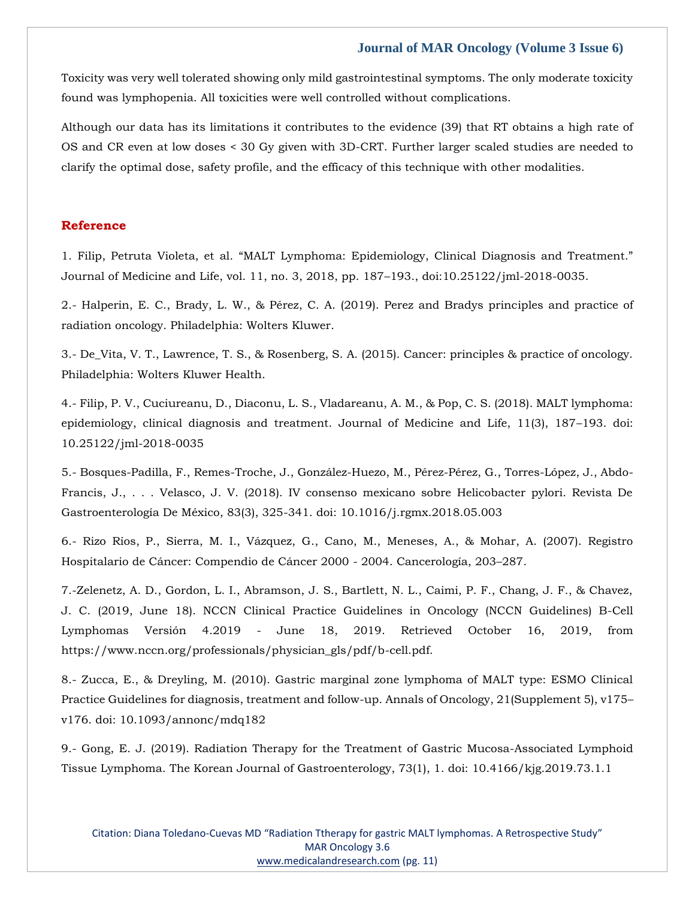Toxicity was very well tolerated showing only mild gastrointestinal symptoms. The only moderate toxicity found was lymphopenia. All toxicities were well controlled without complications.

Although our data has its limitations it contributes to the evidence (39) that RT obtains a high rate of OS and CR even at low doses < 30 Gy given with 3D-CRT. Further larger scaled studies are needed to clarify the optimal dose, safety profile, and the efficacy of this technique with other modalities.

# **Reference**

1. Filip, Petruta Violeta, et al. "MALT Lymphoma: Epidemiology, Clinical Diagnosis and Treatment." Journal of Medicine and Life, vol. 11, no. 3, 2018, pp. 187–193., doi:10.25122/jml-2018-0035.

2.- Halperin, E. C., Brady, L. W., & Pérez, C. A. (2019). Perez and Bradys principles and practice of radiation oncology. Philadelphia: Wolters Kluwer.

3.- De\_Vita, V. T., Lawrence, T. S., & Rosenberg, S. A. (2015). Cancer: principles & practice of oncology. Philadelphia: Wolters Kluwer Health.

4.- Filip, P. V., Cuciureanu, D., Diaconu, L. S., Vladareanu, A. M., & Pop, C. S. (2018). MALT lymphoma: epidemiology, clinical diagnosis and treatment. Journal of Medicine and Life, 11(3), 187–193. doi: 10.25122/jml-2018-0035

5.- Bosques-Padilla, F., Remes-Troche, J., González-Huezo, M., Pérez-Pérez, G., Torres-López, J., Abdo-Francis, J., . . . Velasco, J. V. (2018). IV consenso mexicano sobre Helicobacter pylori. Revista De Gastroenterología De México, 83(3), 325-341. doi: 10.1016/j.rgmx.2018.05.003

6.- Rizo Ríos, P., Sierra, M. I., Vázquez, G., Cano, M., Meneses, A., & Mohar, A. (2007). Registro Hospitalario de Cáncer: Compendio de Cáncer 2000 - 2004. Cancerología, 203–287.

7.-Zelenetz, A. D., Gordon, L. I., Abramson, J. S., Bartlett, N. L., Caimi, P. F., Chang, J. F., & Chavez, J. C. (2019, June 18). NCCN Clinical Practice Guidelines in Oncology (NCCN Guidelines) B-Cell Lymphomas Versión 4.2019 - June 18, 2019. Retrieved October 16, 2019, from https://www.nccn.org/professionals/physician\_gls/pdf/b-cell.pdf.

8.- Zucca, E., & Dreyling, M. (2010). Gastric marginal zone lymphoma of MALT type: ESMO Clinical Practice Guidelines for diagnosis, treatment and follow-up. Annals of Oncology, 21(Supplement 5), v175– v176. doi: 10.1093/annonc/mdq182

9.- Gong, E. J. (2019). Radiation Therapy for the Treatment of Gastric Mucosa-Associated Lymphoid Tissue Lymphoma. The Korean Journal of Gastroenterology, 73(1), 1. doi: 10.4166/kjg.2019.73.1.1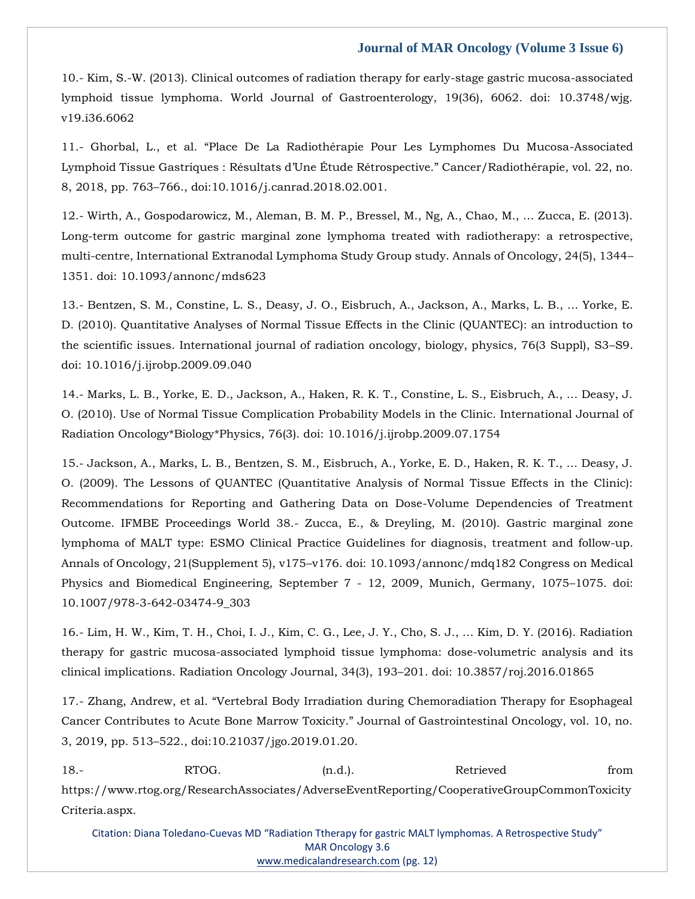10.- Kim, S.-W. (2013). Clinical outcomes of radiation therapy for early-stage gastric mucosa-associated lymphoid tissue lymphoma. World Journal of Gastroenterology, 19(36), 6062. doi: 10.3748/wjg. v19.i36.6062

11.- Ghorbal, L., et al. "Place De La Radiothérapie Pour Les Lymphomes Du Mucosa-Associated Lymphoid Tissue Gastriques : Résultats d'Une Étude Rétrospective." Cancer/Radiothérapie, vol. 22, no. 8, 2018, pp. 763–766., doi:10.1016/j.canrad.2018.02.001.

12.- Wirth, A., Gospodarowicz, M., Aleman, B. M. P., Bressel, M., Ng, A., Chao, M., … Zucca, E. (2013). Long-term outcome for gastric marginal zone lymphoma treated with radiotherapy: a retrospective, multi-centre, International Extranodal Lymphoma Study Group study. Annals of Oncology, 24(5), 1344– 1351. doi: 10.1093/annonc/mds623

13.- Bentzen, S. M., Constine, L. S., Deasy, J. O., Eisbruch, A., Jackson, A., Marks, L. B., … Yorke, E. D. (2010). Quantitative Analyses of Normal Tissue Effects in the Clinic (QUANTEC): an introduction to the scientific issues. International journal of radiation oncology, biology, physics, 76(3 Suppl), S3–S9. doi: 10.1016/j.ijrobp.2009.09.040

14.- Marks, L. B., Yorke, E. D., Jackson, A., Haken, R. K. T., Constine, L. S., Eisbruch, A., … Deasy, J. O. (2010). Use of Normal Tissue Complication Probability Models in the Clinic. International Journal of Radiation Oncology\*Biology\*Physics, 76(3). doi: 10.1016/j.ijrobp.2009.07.1754

15.- Jackson, A., Marks, L. B., Bentzen, S. M., Eisbruch, A., Yorke, E. D., Haken, R. K. T., … Deasy, J. O. (2009). The Lessons of QUANTEC (Quantitative Analysis of Normal Tissue Effects in the Clinic): Recommendations for Reporting and Gathering Data on Dose-Volume Dependencies of Treatment Outcome. IFMBE Proceedings World 38.- Zucca, E., & Dreyling, M. (2010). Gastric marginal zone lymphoma of MALT type: ESMO Clinical Practice Guidelines for diagnosis, treatment and follow-up. Annals of Oncology, 21(Supplement 5), v175–v176. doi: 10.1093/annonc/mdq182 Congress on Medical Physics and Biomedical Engineering, September 7 - 12, 2009, Munich, Germany, 1075–1075. doi: 10.1007/978-3-642-03474-9\_303

16.- Lim, H. W., Kim, T. H., Choi, I. J., Kim, C. G., Lee, J. Y., Cho, S. J., … Kim, D. Y. (2016). Radiation therapy for gastric mucosa-associated lymphoid tissue lymphoma: dose-volumetric analysis and its clinical implications. Radiation Oncology Journal, 34(3), 193–201. doi: 10.3857/roj.2016.01865

17.- Zhang, Andrew, et al. "Vertebral Body Irradiation during Chemoradiation Therapy for Esophageal Cancer Contributes to Acute Bone Marrow Toxicity." Journal of Gastrointestinal Oncology, vol. 10, no. 3, 2019, pp. 513–522., doi:10.21037/jgo.2019.01.20.

18.- RTOG. (n.d.). Retrieved from https://www.rtog.org/ResearchAssociates/AdverseEventReporting/CooperativeGroupCommonToxicity Criteria.aspx.

Citation: Diana Toledano-Cuevas MD "Radiation Ttherapy for gastric MALT lymphomas. A Retrospective Study" MAR Oncology 3.6 [www.medicalandresearch.com](http://www.medicalandresearch.com/) (pg. 12)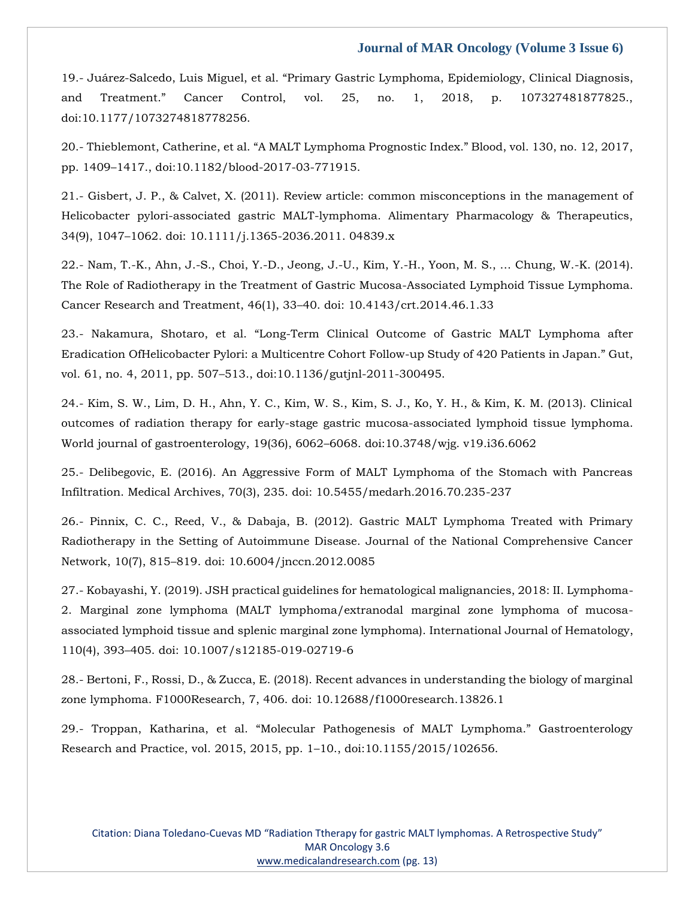19.- Juárez-Salcedo, Luis Miguel, et al. "Primary Gastric Lymphoma, Epidemiology, Clinical Diagnosis, and Treatment." Cancer Control, vol. 25, no. 1, 2018, p. 107327481877825., doi:10.1177/1073274818778256.

20.- Thieblemont, Catherine, et al. "A MALT Lymphoma Prognostic Index." Blood, vol. 130, no. 12, 2017, pp. 1409–1417., doi:10.1182/blood-2017-03-771915.

21.- Gisbert, J. P., & Calvet, X. (2011). Review article: common misconceptions in the management of Helicobacter pylori-associated gastric MALT-lymphoma. Alimentary Pharmacology & Therapeutics, 34(9), 1047–1062. doi: 10.1111/j.1365-2036.2011. 04839.x

22.- Nam, T.-K., Ahn, J.-S., Choi, Y.-D., Jeong, J.-U., Kim, Y.-H., Yoon, M. S., … Chung, W.-K. (2014). The Role of Radiotherapy in the Treatment of Gastric Mucosa-Associated Lymphoid Tissue Lymphoma. Cancer Research and Treatment, 46(1), 33–40. doi: 10.4143/crt.2014.46.1.33

23.- Nakamura, Shotaro, et al. "Long-Term Clinical Outcome of Gastric MALT Lymphoma after Eradication OfHelicobacter Pylori: a Multicentre Cohort Follow-up Study of 420 Patients in Japan." Gut, vol. 61, no. 4, 2011, pp. 507–513., doi:10.1136/gutjnl-2011-300495.

24.- Kim, S. W., Lim, D. H., Ahn, Y. C., Kim, W. S., Kim, S. J., Ko, Y. H., & Kim, K. M. (2013). Clinical outcomes of radiation therapy for early-stage gastric mucosa-associated lymphoid tissue lymphoma. World journal of gastroenterology, 19(36), 6062–6068. doi:10.3748/wjg. v19.i36.6062

25.- Delibegovic, E. (2016). An Aggressive Form of MALT Lymphoma of the Stomach with Pancreas Infiltration. Medical Archives, 70(3), 235. doi: 10.5455/medarh.2016.70.235-237

26.- Pinnix, C. C., Reed, V., & Dabaja, B. (2012). Gastric MALT Lymphoma Treated with Primary Radiotherapy in the Setting of Autoimmune Disease. Journal of the National Comprehensive Cancer Network, 10(7), 815–819. doi: 10.6004/jnccn.2012.0085

27.- Kobayashi, Y. (2019). JSH practical guidelines for hematological malignancies, 2018: II. Lymphoma-2. Marginal zone lymphoma (MALT lymphoma/extranodal marginal zone lymphoma of mucosaassociated lymphoid tissue and splenic marginal zone lymphoma). International Journal of Hematology, 110(4), 393–405. doi: 10.1007/s12185-019-02719-6

28.- Bertoni, F., Rossi, D., & Zucca, E. (2018). Recent advances in understanding the biology of marginal zone lymphoma. F1000Research, 7, 406. doi: 10.12688/f1000research.13826.1

29.- Troppan, Katharina, et al. "Molecular Pathogenesis of MALT Lymphoma." Gastroenterology Research and Practice, vol. 2015, 2015, pp. 1–10., doi:10.1155/2015/102656.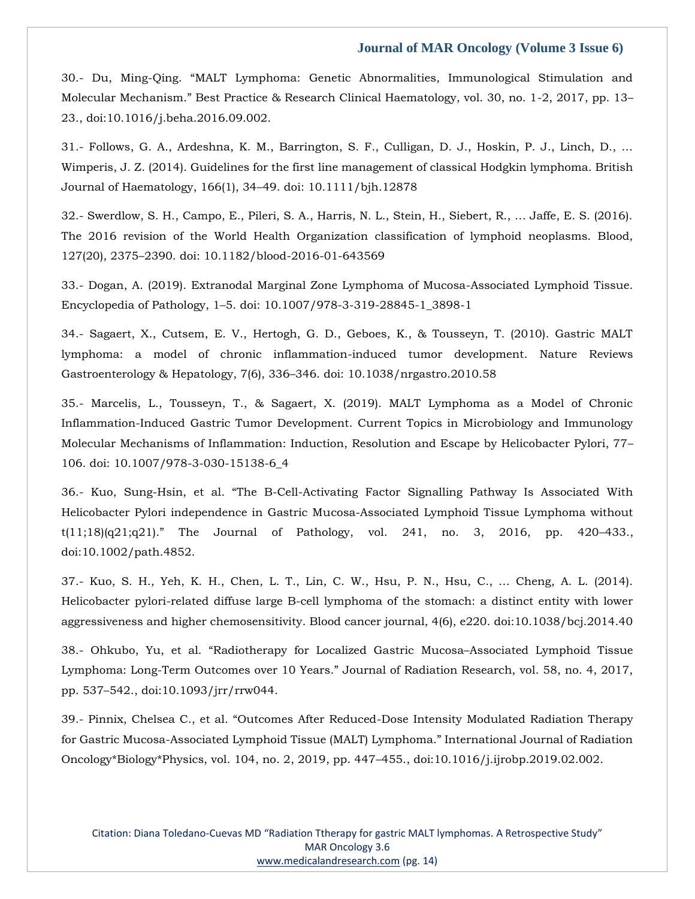30.- Du, Ming-Qing. "MALT Lymphoma: Genetic Abnormalities, Immunological Stimulation and Molecular Mechanism." Best Practice & Research Clinical Haematology, vol. 30, no. 1-2, 2017, pp. 13– 23., doi:10.1016/j.beha.2016.09.002.

31.- Follows, G. A., Ardeshna, K. M., Barrington, S. F., Culligan, D. J., Hoskin, P. J., Linch, D., … Wimperis, J. Z. (2014). Guidelines for the first line management of classical Hodgkin lymphoma. British Journal of Haematology, 166(1), 34–49. doi: 10.1111/bjh.12878

32.- Swerdlow, S. H., Campo, E., Pileri, S. A., Harris, N. L., Stein, H., Siebert, R., … Jaffe, E. S. (2016). The 2016 revision of the World Health Organization classification of lymphoid neoplasms. Blood, 127(20), 2375–2390. doi: 10.1182/blood-2016-01-643569

33.- Dogan, A. (2019). Extranodal Marginal Zone Lymphoma of Mucosa-Associated Lymphoid Tissue. Encyclopedia of Pathology, 1–5. doi: 10.1007/978-3-319-28845-1\_3898-1

34.- Sagaert, X., Cutsem, E. V., Hertogh, G. D., Geboes, K., & Tousseyn, T. (2010). Gastric MALT lymphoma: a model of chronic inflammation-induced tumor development. Nature Reviews Gastroenterology & Hepatology, 7(6), 336–346. doi: 10.1038/nrgastro.2010.58

35.- Marcelis, L., Tousseyn, T., & Sagaert, X. (2019). MALT Lymphoma as a Model of Chronic Inflammation-Induced Gastric Tumor Development. Current Topics in Microbiology and Immunology Molecular Mechanisms of Inflammation: Induction, Resolution and Escape by Helicobacter Pylori, 77– 106. doi: 10.1007/978-3-030-15138-6\_4

36.- Kuo, Sung-Hsin, et al. "The B-Cell-Activating Factor Signalling Pathway Is Associated With Helicobacter Pylori independence in Gastric Mucosa-Associated Lymphoid Tissue Lymphoma without t(11;18)(q21;q21)." The Journal of Pathology, vol. 241, no. 3, 2016, pp. 420–433., doi:10.1002/path.4852.

37.- Kuo, S. H., Yeh, K. H., Chen, L. T., Lin, C. W., Hsu, P. N., Hsu, C., … Cheng, A. L. (2014). Helicobacter pylori-related diffuse large B-cell lymphoma of the stomach: a distinct entity with lower aggressiveness and higher chemosensitivity. Blood cancer journal, 4(6), e220. doi:10.1038/bcj.2014.40

38.- Ohkubo, Yu, et al. "Radiotherapy for Localized Gastric Mucosa–Associated Lymphoid Tissue Lymphoma: Long-Term Outcomes over 10 Years." Journal of Radiation Research, vol. 58, no. 4, 2017, pp. 537–542., doi:10.1093/jrr/rrw044.

39.- Pinnix, Chelsea C., et al. "Outcomes After Reduced-Dose Intensity Modulated Radiation Therapy for Gastric Mucosa-Associated Lymphoid Tissue (MALT) Lymphoma." International Journal of Radiation Oncology\*Biology\*Physics, vol. 104, no. 2, 2019, pp. 447–455., doi:10.1016/j.ijrobp.2019.02.002.